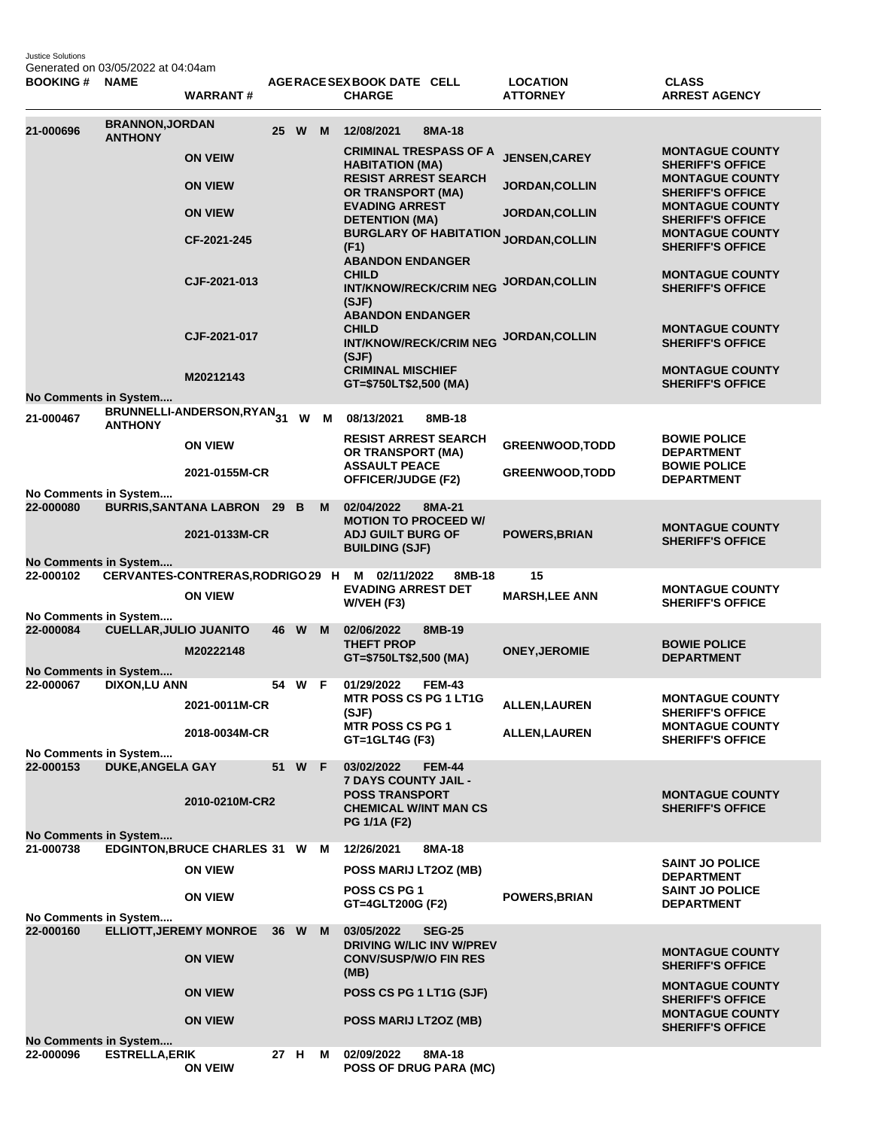Justice Solutions Generated on 03/05/2022 at 04:04am

| <b>BOOKING #</b>                          | <b>NAME</b>                              | <b>WARRANT#</b>                                     |        |   | AGERACE SEX BOOK DATE CELL<br><b>CHARGE</b>                                       | <b>LOCATION</b><br><b>ATTORNEY</b> | <b>CLASS</b><br><b>ARREST AGENCY</b>                                        |
|-------------------------------------------|------------------------------------------|-----------------------------------------------------|--------|---|-----------------------------------------------------------------------------------|------------------------------------|-----------------------------------------------------------------------------|
| 21-000696                                 | <b>BRANNON, JORDAN</b><br><b>ANTHONY</b> |                                                     | 25 W M |   | 12/08/2021<br>8MA-18                                                              |                                    |                                                                             |
|                                           |                                          | <b>ON VEIW</b>                                      |        |   | <b>CRIMINAL TRESPASS OF A</b><br><b>HABITATION (MA)</b>                           | <b>JENSEN, CAREY</b>               | <b>MONTAGUE COUNTY</b><br><b>SHERIFF'S OFFICE</b>                           |
|                                           |                                          | <b>ON VIEW</b>                                      |        |   | <b>RESIST ARREST SEARCH</b><br>OR TRANSPORT (MA)                                  | <b>JORDAN, COLLIN</b>              | <b>MONTAGUE COUNTY</b><br><b>SHERIFF'S OFFICE</b>                           |
|                                           |                                          | <b>ON VIEW</b>                                      |        |   | <b>EVADING ARREST</b><br><b>DETENTION (MA)</b>                                    | <b>JORDAN, COLLIN</b>              | <b>MONTAGUE COUNTY</b><br><b>SHERIFF'S OFFICE</b>                           |
|                                           |                                          | CF-2021-245                                         |        |   | <b>BURGLARY OF HABITATION JORDAN,COLLIN</b><br>(F1)<br><b>ABANDON ENDANGER</b>    |                                    | <b>MONTAGUE COUNTY</b><br><b>SHERIFF'S OFFICE</b>                           |
|                                           |                                          | CJF-2021-013                                        |        |   | <b>CHILD</b><br><b>INT/KNOW/RECK/CRIM NEG</b><br>(SJF)<br><b>ABANDON ENDANGER</b> | <b>JORDAN, COLLIN</b>              | <b>MONTAGUE COUNTY</b><br><b>SHERIFF'S OFFICE</b>                           |
|                                           |                                          | CJF-2021-017                                        |        |   | <b>CHILD</b><br><b>INT/KNOW/RECK/CRIM NEG</b><br>(SJF)                            | JORDAN, COLLIN                     | <b>MONTAGUE COUNTY</b><br><b>SHERIFF'S OFFICE</b>                           |
| No Comments in System                     |                                          | M20212143                                           |        |   | <b>CRIMINAL MISCHIEF</b><br>GT=\$750LT\$2,500 (MA)                                |                                    | <b>MONTAGUE COUNTY</b><br><b>SHERIFF'S OFFICE</b>                           |
| 21-000467                                 |                                          | BRUNNELLI-ANDERSON,RYAN <sub>31</sub> W             |        | M | 08/13/2021<br>8MB-18                                                              |                                    |                                                                             |
|                                           | <b>ANTHONY</b>                           | <b>ON VIEW</b>                                      |        |   | <b>RESIST ARREST SEARCH</b><br>OR TRANSPORT (MA)                                  | <b>GREENWOOD, TODD</b>             | <b>BOWIE POLICE</b><br><b>DEPARTMENT</b>                                    |
|                                           |                                          | 2021-0155M-CR                                       |        |   | <b>ASSAULT PEACE</b><br>OFFICER/JUDGE (F2)                                        | <b>GREENWOOD, TODD</b>             | <b>BOWIE POLICE</b><br><b>DEPARTMENT</b>                                    |
| No Comments in System<br>22-000080        |                                          | <b>BURRIS, SANTANA LABRON 29</b>                    | B      | M | 02/04/2022<br>8MA-21                                                              |                                    |                                                                             |
|                                           |                                          | 2021-0133M-CR                                       |        |   | <b>MOTION TO PROCEED W/</b><br><b>ADJ GUILT BURG OF</b><br><b>BUILDING (SJF)</b>  | <b>POWERS, BRIAN</b>               | <b>MONTAGUE COUNTY</b><br><b>SHERIFF'S OFFICE</b>                           |
| <b>No Comments in System</b>              |                                          |                                                     |        |   |                                                                                   |                                    |                                                                             |
| 22-000102                                 |                                          | CERVANTES-CONTRERAS, RODRIGO 29 H<br><b>ON VIEW</b> |        |   | M 02/11/2022<br>8MB-18<br><b>EVADING ARREST DET</b><br>W/VEH (F3)                 | 15<br><b>MARSH, LEE ANN</b>        | <b>MONTAGUE COUNTY</b><br><b>SHERIFF'S OFFICE</b>                           |
| No Comments in System<br>22-000084        | <b>CUELLAR, JULIO JUANITO</b>            |                                                     | 46 W   | M | 02/06/2022<br>8MB-19                                                              |                                    |                                                                             |
|                                           |                                          | M20222148                                           |        |   | <b>THEFT PROP</b><br>GT=\$750LT\$2,500 (MA)                                       | <b>ONEY, JEROMIE</b>               | <b>BOWIE POLICE</b><br><b>DEPARTMENT</b>                                    |
| No Comments in System<br>22-000067        | <b>DIXON,LU ANN</b>                      |                                                     | 54 W F |   | 01/29/2022<br><b>FEM-43</b>                                                       |                                    |                                                                             |
|                                           |                                          | 2021-0011M-CR                                       |        |   | MTR POSS CS PG 1 LT1G<br>(SJF)<br><b>MTR POSS CS PG 1</b>                         | <b>ALLEN, LAUREN</b>               | <b>MONTAGUE COUNTY</b><br><b>SHERIFF'S OFFICE</b><br><b>MONTAGUE COUNTY</b> |
|                                           |                                          | 2018-0034M-CR                                       |        |   | GT=1GLT4G (F3)                                                                    | <b>ALLEN, LAUREN</b>               | <b>SHERIFF'S OFFICE</b>                                                     |
| No Comments in System<br>22-000153        | <b>DUKE, ANGELA GAY</b>                  |                                                     | 51 W F |   | 03/02/2022<br><b>FEM-44</b>                                                       |                                    |                                                                             |
|                                           |                                          | 2010-0210M-CR2                                      |        |   | 7 DAYS COUNTY JAIL -<br><b>POSS TRANSPORT</b><br><b>CHEMICAL W/INT MAN CS</b>     |                                    | <b>MONTAGUE COUNTY</b><br><b>SHERIFF'S OFFICE</b>                           |
|                                           |                                          |                                                     |        |   | <b>PG 1/1A (F2)</b>                                                               |                                    |                                                                             |
| <b>No Comments in System</b><br>21-000738 |                                          | EDGINTON, BRUCE CHARLES 31 W M                      |        |   | 12/26/2021<br>8MA-18                                                              |                                    |                                                                             |
|                                           |                                          | <b>ON VIEW</b>                                      |        |   | POSS MARIJ LT2OZ (MB)                                                             |                                    | <b>SAINT JO POLICE</b><br><b>DEPARTMENT</b>                                 |
|                                           |                                          | <b>ON VIEW</b>                                      |        |   | <b>POSS CS PG 1</b><br>GT=4GLT200G (F2)                                           | <b>POWERS, BRIAN</b>               | <b>SAINT JO POLICE</b><br><b>DEPARTMENT</b>                                 |
| No Comments in System<br>22-000160        |                                          | ELLIOTT, JEREMY MONROE 36 W M                       |        |   | 03/05/2022<br><b>SEG-25</b><br>DRIVING W/LIC INV W/PREV                           |                                    |                                                                             |
|                                           |                                          | <b>ON VIEW</b>                                      |        |   | <b>CONV/SUSP/W/O FIN RES</b><br>(MB)                                              |                                    | <b>MONTAGUE COUNTY</b><br><b>SHERIFF'S OFFICE</b>                           |
|                                           |                                          | <b>ON VIEW</b>                                      |        |   | POSS CS PG 1 LT1G (SJF)                                                           |                                    | <b>MONTAGUE COUNTY</b><br><b>SHERIFF'S OFFICE</b><br><b>MONTAGUE COUNTY</b> |
|                                           |                                          | <b>ON VIEW</b>                                      |        |   | <b>POSS MARIJ LT2OZ (MB)</b>                                                      |                                    | <b>SHERIFF'S OFFICE</b>                                                     |
| No Comments in System<br>22-000096        | <b>ESTRELLA, ERIK</b>                    | <b>ON VEIW</b>                                      | 27 H   | M | 02/09/2022<br>8MA-18<br><b>POSS OF DRUG PARA (MC)</b>                             |                                    |                                                                             |
|                                           |                                          |                                                     |        |   |                                                                                   |                                    |                                                                             |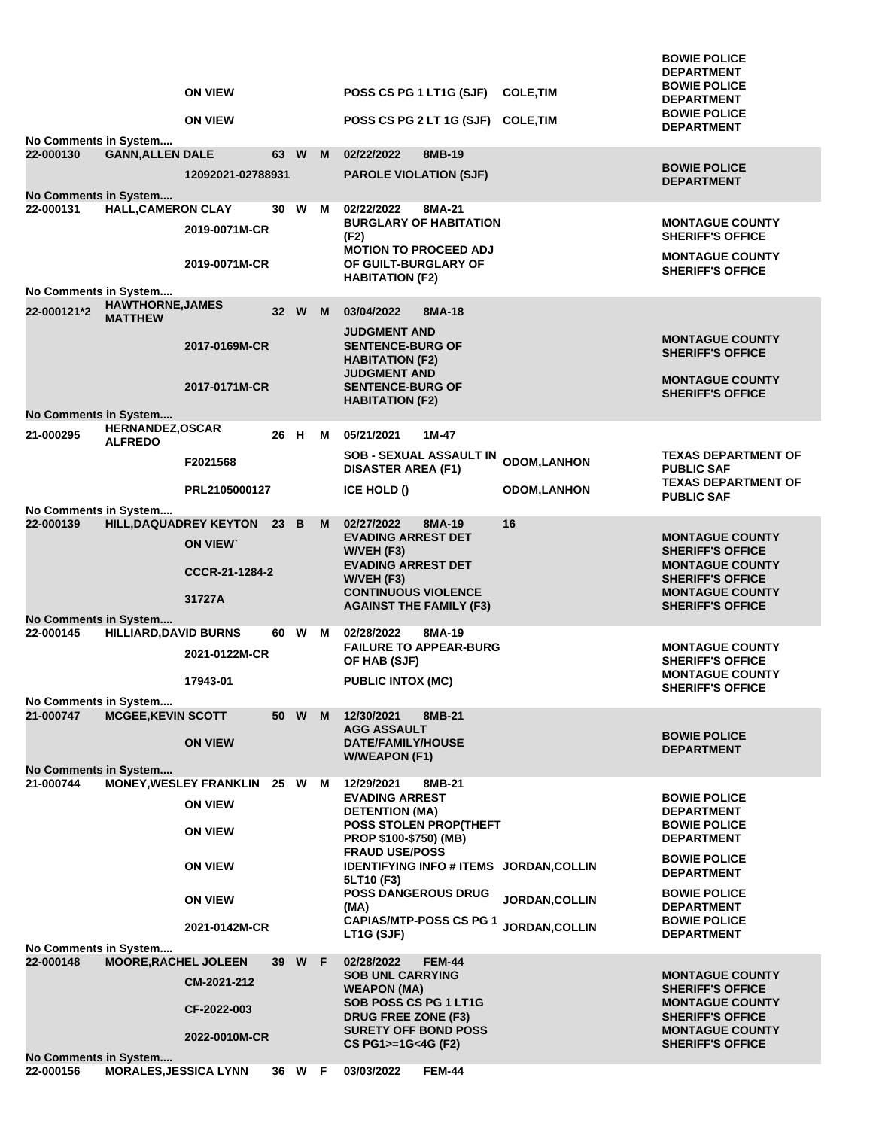|                              |                                           |                                           | <b>ON VIEW</b>                                  |      |        |   | POSS CS PG 1 LT1G (SJF)                                                  | <b>COLE, TIM</b>   | <b>BOWIE POLICE</b><br><b>DEPARTMENT</b><br><b>BOWIE POLICE</b> |
|------------------------------|-------------------------------------------|-------------------------------------------|-------------------------------------------------|------|--------|---|--------------------------------------------------------------------------|--------------------|-----------------------------------------------------------------|
|                              |                                           |                                           | <b>ON VIEW</b>                                  |      |        |   | POSS CS PG 2 LT 1G (SJF) COLE, TIM                                       |                    | <b>DEPARTMENT</b><br><b>BOWIE POLICE</b><br><b>DEPARTMENT</b>   |
|                              | No Comments in System                     |                                           |                                                 |      |        |   |                                                                          |                    |                                                                 |
|                              | 22-000130                                 | <b>GANN, ALLEN DALE</b>                   |                                                 | 63 W |        | M | 02/22/2022<br>8MB-19                                                     |                    | <b>BOWIE POLICE</b>                                             |
|                              | No Comments in System                     |                                           | 12092021-02788931                               |      |        |   | <b>PAROLE VIOLATION (SJF)</b>                                            |                    | <b>DEPARTMENT</b>                                               |
|                              | 22-000131                                 | <b>HALL, CAMERON CLAY</b>                 |                                                 | 30   | W      | м | 02/22/2022<br>8MA-21                                                     |                    |                                                                 |
|                              |                                           |                                           | 2019-0071M-CR                                   |      |        |   | <b>BURGLARY OF HABITATION</b><br>(F2)<br><b>MOTION TO PROCEED ADJ</b>    |                    | <b>MONTAGUE COUNTY</b><br><b>SHERIFF'S OFFICE</b>               |
|                              |                                           |                                           | 2019-0071M-CR                                   |      |        |   | OF GUILT-BURGLARY OF<br><b>HABITATION (F2)</b>                           |                    | <b>MONTAGUE COUNTY</b><br><b>SHERIFF'S OFFICE</b>               |
|                              | No Comments in System                     |                                           |                                                 |      |        |   |                                                                          |                    |                                                                 |
|                              | 22-000121*2                               | <b>HAWTHORNE, JAMES</b><br><b>MATTHEW</b> |                                                 |      | 32 W M |   | 03/04/2022<br>8MA-18<br><b>JUDGMENT AND</b>                              |                    |                                                                 |
|                              |                                           |                                           | 2017-0169M-CR                                   |      |        |   | <b>SENTENCE-BURG OF</b><br><b>HABITATION (F2)</b>                        |                    | <b>MONTAGUE COUNTY</b><br><b>SHERIFF'S OFFICE</b>               |
|                              |                                           |                                           | 2017-0171M-CR                                   |      |        |   | <b>JUDGMENT AND</b><br><b>SENTENCE-BURG OF</b><br><b>HABITATION (F2)</b> |                    | <b>MONTAGUE COUNTY</b><br><b>SHERIFF'S OFFICE</b>               |
|                              | No Comments in System                     |                                           |                                                 |      |        |   |                                                                          |                    |                                                                 |
|                              | 21-000295                                 | <b>HERNANDEZ, OSCAR</b><br><b>ALFREDO</b> |                                                 | 26 H |        | м | 05/21/2021<br>1M-47                                                      |                    |                                                                 |
|                              |                                           |                                           | F2021568                                        |      |        |   | SOB - SEXUAL ASSAULT IN<br><b>DISASTER AREA (F1)</b>                     | <b>ODOM,LANHON</b> | <b>TEXAS DEPARTMENT OF</b><br><b>PUBLIC SAF</b>                 |
|                              |                                           |                                           | PRL2105000127                                   |      |        |   | ICE HOLD ()                                                              | <b>ODOM,LANHON</b> | <b>TEXAS DEPARTMENT OF</b><br><b>PUBLIC SAF</b>                 |
|                              | No Comments in System<br>22-000139        |                                           | HILL, DAQUADREY KEYTON                          | 23 B |        | M | 02/27/2022<br>8MA-19                                                     | 16                 |                                                                 |
|                              |                                           |                                           | <b>ON VIEW</b>                                  |      |        |   | <b>EVADING ARREST DET</b><br>W/VEH (F3)                                  |                    | <b>MONTAGUE COUNTY</b><br><b>SHERIFF'S OFFICE</b>               |
|                              |                                           |                                           | CCCR-21-1284-2                                  |      |        |   | <b>EVADING ARREST DET</b><br>$W/VEH$ (F3)                                |                    | <b>MONTAGUE COUNTY</b><br><b>SHERIFF'S OFFICE</b>               |
|                              |                                           |                                           | 31727A                                          |      |        |   | <b>CONTINUOUS VIOLENCE</b><br><b>AGAINST THE FAMILY (F3)</b>             |                    | <b>MONTAGUE COUNTY</b><br><b>SHERIFF'S OFFICE</b>               |
|                              | <b>No Comments in System</b><br>22-000145 | <b>HILLIARD, DAVID BURNS</b>              |                                                 | 60 W |        | М | 02/28/2022<br>8MA-19                                                     |                    |                                                                 |
|                              |                                           |                                           | 2021-0122M-CR                                   |      |        |   | <b>FAILURE TO APPEAR-BURG</b><br>OF HAB (SJF)                            |                    | <b>MONTAGUE COUNTY</b><br><b>SHERIFF'S OFFICE</b>               |
|                              |                                           |                                           | 17943-01                                        |      |        |   | <b>PUBLIC INTOX (MC)</b>                                                 |                    | <b>MONTAGUE COUNTY</b><br><b>SHERIFF'S OFFICE</b>               |
|                              | No Comments in System                     |                                           |                                                 |      |        |   |                                                                          |                    |                                                                 |
|                              | 21-000747                                 | <b>MCGEE, KEVIN SCOTT</b>                 |                                                 | 50 W |        | M | 12/30/2021<br>8MB-21<br><b>AGG ASSAULT</b>                               |                    |                                                                 |
|                              |                                           |                                           | <b>ON VIEW</b>                                  |      |        |   | <b>DATE/FAMILY/HOUSE</b><br><b>W/WEAPON (F1)</b>                         |                    | <b>BOWIE POLICE</b><br><b>DEPARTMENT</b>                        |
| <b>No Comments in System</b> |                                           |                                           |                                                 |      |        |   |                                                                          |                    |                                                                 |
|                              | 21-000744                                 |                                           | <b>MONEY, WESLEY FRANKLIN</b><br><b>ON VIEW</b> | 25 W |        | M | 12/29/2021<br>8MB-21<br><b>EVADING ARREST</b>                            |                    | <b>BOWIE POLICE</b>                                             |
|                              |                                           |                                           | <b>ON VIEW</b>                                  |      |        |   | <b>DETENTION (MA)</b><br>POSS STOLEN PROP(THEFT                          |                    | <b>DEPARTMENT</b><br><b>BOWIE POLICE</b>                        |
|                              |                                           |                                           |                                                 |      |        |   | PROP \$100-\$750) (MB)<br><b>FRAUD USE/POSS</b>                          |                    | <b>DEPARTMENT</b><br><b>BOWIE POLICE</b>                        |
|                              |                                           |                                           | <b>ON VIEW</b>                                  |      |        |   | IDENTIFYING INFO # ITEMS JORDAN, COLLIN<br>5LT10 (F3)                    |                    | <b>DEPARTMENT</b>                                               |
|                              |                                           |                                           | <b>ON VIEW</b>                                  |      |        |   | <b>POSS DANGEROUS DRUG</b><br>(MA)                                       | JORDAN, COLLIN     | <b>BOWIE POLICE</b><br><b>DEPARTMENT</b>                        |
|                              |                                           |                                           | 2021-0142M-CR                                   |      |        |   | <b>CAPIAS/MTP-POSS CS PG 1</b><br>LT1G (SJF)                             | JORDAN, COLLIN     | <b>BOWIE POLICE</b><br><b>DEPARTMENT</b>                        |
|                              | No Comments in System<br>22-000148        | <b>MOORE, RACHEL JOLEEN</b>               |                                                 |      | 39 W F |   | 02/28/2022<br><b>FEM-44</b>                                              |                    |                                                                 |
|                              |                                           |                                           | CM-2021-212                                     |      |        |   | <b>SOB UNL CARRYING</b><br><b>WEAPON (MA)</b>                            |                    | <b>MONTAGUE COUNTY</b><br><b>SHERIFF'S OFFICE</b>               |
|                              |                                           |                                           | CF-2022-003                                     |      |        |   | SOB POSS CS PG 1 LT1G<br><b>DRUG FREE ZONE (F3)</b>                      |                    | <b>MONTAGUE COUNTY</b><br><b>SHERIFF'S OFFICE</b>               |
|                              |                                           |                                           | 2022-0010M-CR                                   |      |        |   | <b>SURETY OFF BOND POSS</b><br>CS PG1>=1G<4G (F2)                        |                    | <b>MONTAGUE COUNTY</b><br><b>SHERIFF'S OFFICE</b>               |
|                              | <b>No Comments in System</b><br>22-000156 | <b>MORALES, JESSICA LYNN</b>              |                                                 |      | 36 W F |   | 03/03/2022<br><b>FEM-44</b>                                              |                    |                                                                 |
|                              |                                           |                                           |                                                 |      |        |   |                                                                          |                    |                                                                 |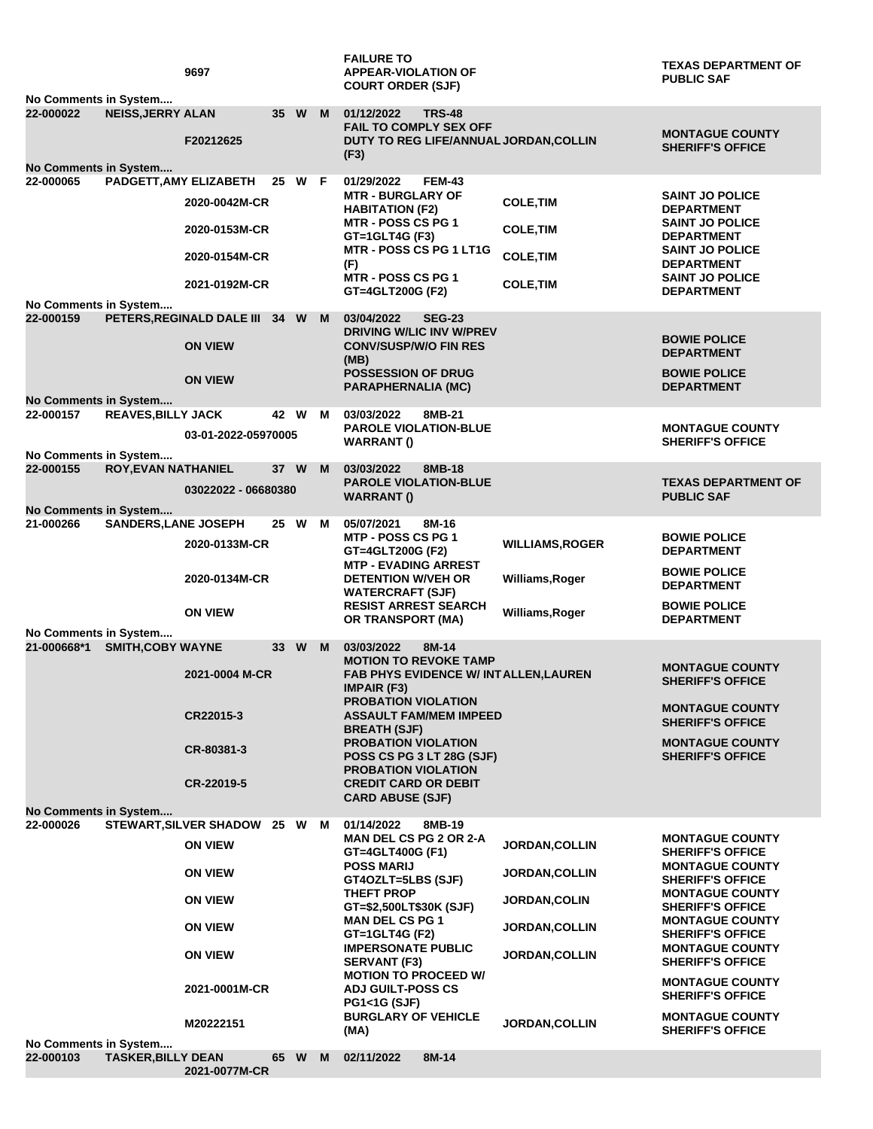| No Comments in System                |                             | 9697                                          |      |        |   | <b>FAILURE TO</b><br><b>APPEAR-VIOLATION OF</b><br><b>COURT ORDER (SJF)</b>                                    |                        | <b>TEXAS DEPARTMENT OF</b><br><b>PUBLIC SAF</b>                              |
|--------------------------------------|-----------------------------|-----------------------------------------------|------|--------|---|----------------------------------------------------------------------------------------------------------------|------------------------|------------------------------------------------------------------------------|
| 22-000022                            | <b>NEISS, JERRY ALAN</b>    | F20212625                                     | 35 W |        | M | 01/12/2022<br><b>TRS-48</b><br><b>FAIL TO COMPLY SEX OFF</b><br>DUTY TO REG LIFE/ANNUAL JORDAN, COLLIN<br>(F3) |                        | <b>MONTAGUE COUNTY</b><br><b>SHERIFF'S OFFICE</b>                            |
| No Comments in System<br>22-000065   | PADGETT, AMY ELIZABETH      |                                               |      | 25 W F |   | <b>FEM-43</b><br>01/29/2022                                                                                    |                        |                                                                              |
|                                      |                             | 2020-0042M-CR                                 |      |        |   | <b>MTR - BURGLARY OF</b><br><b>HABITATION (F2)</b>                                                             | <b>COLE, TIM</b>       | <b>SAINT JO POLICE</b><br><b>DEPARTMENT</b>                                  |
|                                      |                             | 2020-0153M-CR                                 |      |        |   | <b>MTR - POSS CS PG 1</b><br>GT=1GLT4G (F3)                                                                    | <b>COLE, TIM</b>       | <b>SAINT JO POLICE</b><br><b>DEPARTMENT</b>                                  |
|                                      |                             | 2020-0154M-CR                                 |      |        |   | MTR - POSS CS PG 1 LT1G<br>(F)                                                                                 | <b>COLE, TIM</b>       | <b>SAINT JO POLICE</b><br><b>DEPARTMENT</b>                                  |
|                                      |                             | 2021-0192M-CR                                 |      |        |   | MTR - POSS CS PG 1<br>GT=4GLT200G (F2)                                                                         | <b>COLE, TIM</b>       | <b>SAINT JO POLICE</b><br><b>DEPARTMENT</b>                                  |
| No Comments in System<br>22-000159   |                             | PETERS, REGINALD DALE III 34 W                |      |        | M | 03/04/2022<br><b>SEG-23</b>                                                                                    |                        |                                                                              |
|                                      |                             | <b>ON VIEW</b>                                |      |        |   | DRIVING W/LIC INV W/PREV<br><b>CONV/SUSP/W/O FIN RES</b><br>(MB)                                               |                        | <b>BOWIE POLICE</b><br><b>DEPARTMENT</b>                                     |
|                                      |                             | <b>ON VIEW</b>                                |      |        |   | <b>POSSESSION OF DRUG</b><br><b>PARAPHERNALIA (MC)</b>                                                         |                        | <b>BOWIE POLICE</b><br><b>DEPARTMENT</b>                                     |
| No Comments in System                |                             |                                               |      |        |   |                                                                                                                |                        |                                                                              |
| 22-000157                            | <b>REAVES, BILLY JACK</b>   |                                               | 42 W |        | м | 03/03/2022<br>8MB-21                                                                                           |                        |                                                                              |
|                                      |                             | 03-01-2022-05970005                           |      |        |   | <b>PAROLE VIOLATION-BLUE</b><br><b>WARRANT()</b>                                                               |                        | <b>MONTAGUE COUNTY</b><br><b>SHERIFF'S OFFICE</b>                            |
| No Comments in System<br>22-000155   | <b>ROY, EVAN NATHANIEL</b>  |                                               | 37 W |        | M | 03/03/2022<br>8MB-18                                                                                           |                        |                                                                              |
|                                      |                             |                                               |      |        |   | <b>PAROLE VIOLATION-BLUE</b>                                                                                   |                        | <b>TEXAS DEPARTMENT OF</b>                                                   |
|                                      |                             | 03022022 - 06680380                           |      |        |   | <b>WARRANT()</b>                                                                                               |                        | <b>PUBLIC SAF</b>                                                            |
| No Comments in System<br>21-000266   | <b>SANDERS, LANE JOSEPH</b> |                                               | 25 W |        | м | 05/07/2021<br>8M-16                                                                                            |                        |                                                                              |
|                                      |                             |                                               |      |        |   | <b>MTP - POSS CS PG 1</b>                                                                                      |                        | <b>BOWIE POLICE</b>                                                          |
|                                      |                             | 2020-0133M-CR                                 |      |        |   | GT=4GLT200G (F2)<br><b>MTP - EVADING ARREST</b>                                                                | <b>WILLIAMS, ROGER</b> | <b>DEPARTMENT</b>                                                            |
|                                      |                             | 2020-0134M-CR                                 |      |        |   | <b>DETENTION W/VEH OR</b><br><b>WATERCRAFT (SJF)</b>                                                           | Williams, Roger        | <b>BOWIE POLICE</b><br><b>DEPARTMENT</b>                                     |
|                                      |                             | <b>ON VIEW</b>                                |      |        |   | <b>RESIST ARREST SEARCH</b><br>OR TRANSPORT (MA)                                                               | Williams, Roger        | <b>BOWIE POLICE</b><br><b>DEPARTMENT</b>                                     |
| No Comments in System<br>21-000668*1 | <b>SMITH, COBY WAYNE</b>    |                                               | 33 W |        | M | 03/03/2022<br>8M-14<br><b>MOTION TO REVOKE TAMP</b>                                                            |                        |                                                                              |
|                                      |                             | 2021-0004 M-CR                                |      |        |   | <b>FAB PHYS EVIDENCE W/ INT ALLEN, LAUREN</b><br><b>IMPAIR (F3)</b>                                            |                        | <b>MONTAGUE COUNTY</b><br><b>SHERIFF'S OFFICE</b>                            |
|                                      |                             | CR22015-3                                     |      |        |   | <b>PROBATION VIOLATION</b><br><b>ASSAULT FAM/MEM IMPEED</b><br><b>BREATH (SJF)</b>                             |                        | <b>MONTAGUE COUNTY</b><br><b>SHERIFF'S OFFICE</b>                            |
|                                      |                             | CR-80381-3                                    |      |        |   | <b>PROBATION VIOLATION</b><br>POSS CS PG 3 LT 28G (SJF)<br><b>PROBATION VIOLATION</b>                          |                        | <b>MONTAGUE COUNTY</b><br><b>SHERIFF'S OFFICE</b>                            |
|                                      |                             | CR-22019-5                                    |      |        |   | <b>CREDIT CARD OR DEBIT</b><br><b>CARD ABUSE (SJF)</b>                                                         |                        |                                                                              |
| No Comments in System                |                             |                                               |      |        |   |                                                                                                                |                        |                                                                              |
| 22-000026                            |                             | STEWART, SILVER SHADOW 25 W<br><b>ON VIEW</b> |      |        | M | 01/14/2022<br>8MB-19<br><b>MAN DEL CS PG 2 OR 2-A</b>                                                          | <b>JORDAN, COLLIN</b>  | <b>MONTAGUE COUNTY</b>                                                       |
|                                      |                             | <b>ON VIEW</b>                                |      |        |   | GT=4GLT400G (F1)<br><b>POSS MARIJ</b><br>GT4OZLT=5LBS (SJF)                                                    | <b>JORDAN,COLLIN</b>   | <b>SHERIFF'S OFFICE</b><br><b>MONTAGUE COUNTY</b><br><b>SHERIFF'S OFFICE</b> |
|                                      |                             | <b>ON VIEW</b>                                |      |        |   | <b>THEFT PROP</b><br>GT=\$2,500LT\$30K (SJF)                                                                   | <b>JORDAN,COLIN</b>    | <b>MONTAGUE COUNTY</b><br><b>SHERIFF'S OFFICE</b>                            |
|                                      |                             | <b>ON VIEW</b>                                |      |        |   | <b>MAN DEL CS PG 1</b><br>GT=1GLT4G (F2)                                                                       | JORDAN, COLLIN         | <b>MONTAGUE COUNTY</b><br><b>SHERIFF'S OFFICE</b>                            |
|                                      |                             | <b>ON VIEW</b>                                |      |        |   | <b>IMPERSONATE PUBLIC</b><br>SERVANT (F3)                                                                      | <b>JORDAN,COLLIN</b>   | <b>MONTAGUE COUNTY</b><br><b>SHERIFF'S OFFICE</b>                            |
|                                      |                             | 2021-0001M-CR                                 |      |        |   | <b>MOTION TO PROCEED W/</b><br><b>ADJ GUILT-POSS CS</b><br><b>PG1&lt;1G (SJF)</b>                              |                        | <b>MONTAGUE COUNTY</b><br><b>SHERIFF'S OFFICE</b>                            |
|                                      |                             | M20222151                                     |      |        |   | <b>BURGLARY OF VEHICLE</b><br>(MA)                                                                             | <b>JORDAN, COLLIN</b>  | <b>MONTAGUE COUNTY</b><br><b>SHERIFF'S OFFICE</b>                            |
| No Comments in System<br>22-000103   | <b>TASKER, BILLY DEAN</b>   |                                               | 65 W |        | M | 02/11/2022<br>8M-14                                                                                            |                        |                                                                              |
|                                      |                             | 2021-0077M-CR                                 |      |        |   |                                                                                                                |                        |                                                                              |